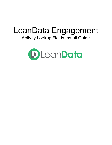# LeanData Engagement Activity Lookup Fields Install Guide

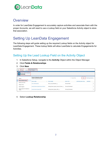

## **Overview**

In order for LeanData Engagement to accurately capture activities and associate them with the proper Accounts, we will need to use a Lookup field on your Salesforce Activity object to store that association.

## Setting Up LeanData Engagement

The following steps will guide setting up the required Lookup fields on the Activity object for LeanData Engagement. These lookup fields will allow LeanData to calculate Engagements for Activities.

### Setting Up the Lead Lookup Field on the Activity Object

- 1. In Salesforce Setup, navigate to the **Activity** Object within the Object Manager
- 2. Click **Fields & Relationships**
- 3. Click **New**

| 0.0.0<br>111 | Setup                                            | Home                             | Object Manager $\vee$                                                |                                            |           |                                       |                    |              |                          |     |                           |
|--------------|--------------------------------------------------|----------------------------------|----------------------------------------------------------------------|--------------------------------------------|-----------|---------------------------------------|--------------------|--------------|--------------------------|-----|---------------------------|
| €            | <b>Activity</b>                                  | <b>SETUP &gt; OBJECT MANAGER</b> |                                                                      |                                            |           |                                       |                    |              |                          |     |                           |
|              | Details<br><b>Fields &amp; Relationships</b>     |                                  | <b>Fields &amp; Relationships</b><br>16 Items, Sorted by Field Label |                                            |           |                                       |                    | Q Quick Find |                          | New | <b>Field Dependencies</b> |
|              |                                                  |                                  | <b>FIELD LABEL</b>                                                   |                                            | $\bullet$ | <b>FIELD NAME</b>                     | <b>DATA TYPE</b>   |              | <b>CONTROLLING FIELD</b> |     | <b>INDEXED</b>            |
|              | <b>Buttons and Links</b><br><b>Object Limits</b> |                                  | 15 to 18 Characters                                                  |                                            |           | X15 to 18 Characters c                | Formula (Text)     |              |                          |     | v                         |
|              | Search Layouts                                   |                                  |                                                                      | <b>Activity Owner Equals Account Owner</b> |           | Activity Owner Equals Account Owner c | Formula (Checkbox) |              |                          |     | ▼                         |
|              | Search Layouts for Salesforce<br>Classic         |                                  | <b>Activity Owner Equals ADR</b>                                     |                                            |           | Activity_Owner_Equals_ADR__c          | Formula (Checkbox) |              |                          |     | v                         |

4. Select **Lookup Relationship**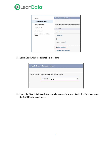

| <b>Details</b>                           | Step 1. Choose the field type                         |
|------------------------------------------|-------------------------------------------------------|
| <b>Fields &amp; Relationships</b>        |                                                       |
| <b>Buttons and Links</b>                 | Specify the type of information that the custom field |
| <b>Object Limits</b>                     | Data Type                                             |
| Search Layouts                           | ś<br>None Selected                                    |
| Search Layouts for Salesforce<br>Classic | ŀ<br><b>Auto Number</b><br>r                          |
|                                          | $\bigcap$ Formula<br>C                                |
|                                          | Roll-Up Summary 1<br>ŀ<br>â                           |
|                                          | <b>O</b> Lookup Relationship                          |
|                                          | Ò<br><b>External Lookup Relationship</b>              |

5. Select **Lead** within the Related To dropdown

| Step 2. Choose the related object                        |  |  |  |  |  |  |
|----------------------------------------------------------|--|--|--|--|--|--|
| Select the other object to which this object is related. |  |  |  |  |  |  |
| <b>Related To</b><br>$\hat{C}$<br>Lead                   |  |  |  |  |  |  |
|                                                          |  |  |  |  |  |  |

6. Name the Field Label: **Lead.** You may choose whatever you wish for the Field name and the Child Relationship Name.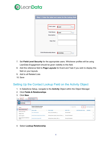

| Step 3. Enter the label and name for the lookup field       |                        |  |  |  |  |  |  |
|-------------------------------------------------------------|------------------------|--|--|--|--|--|--|
|                                                             |                        |  |  |  |  |  |  |
| <b>Field Label</b>                                          | Lead<br>$\mathbf{i}$   |  |  |  |  |  |  |
| <b>Field Name</b><br><b>Description</b><br><b>Help Text</b> | Lead<br>$\mathbf{i}$   |  |  |  |  |  |  |
| <b>Child Relationship Name</b>                              | <b>Activities</b><br>÷ |  |  |  |  |  |  |

- 7. Set **Field-Level Security** for the appropriate users. Whichever profiles will be using LeanData Engagement should be given visibility to this field.
- 8. Add this reference field to **Page Layouts** for Event and Task if you wish to display this field on your layouts.
- 9. Add to all Related Lists
- 10. Save

#### Setting Up the Contact Lookup Field on the Activity Object

- 1. In Salesforce Setup, navigate to the **Activity** Object within the Object Manager
- 2. Click **Fields & Relationships**
- 3. Click **New**

| $\ddot{}$ | Setup                                               | Home |  | Object Manager $\vee$                                                |                                            |   |                                       |                    |              |                          |     |                           |   |
|-----------|-----------------------------------------------------|------|--|----------------------------------------------------------------------|--------------------------------------------|---|---------------------------------------|--------------------|--------------|--------------------------|-----|---------------------------|---|
| Ю         | <b>SETUP &gt; OBJECT MANAGER</b><br><b>Activity</b> |      |  |                                                                      |                                            |   |                                       |                    |              |                          |     |                           |   |
|           | Details<br><b>Fields &amp; Relationships</b>        |      |  | <b>Fields &amp; Relationships</b><br>16 Items, Sorted by Field Label |                                            |   |                                       |                    | Q Quick Find |                          | New | <b>Field Dependencies</b> |   |
|           |                                                     |      |  | <b>FIELD LABEL</b>                                                   |                                            | ٠ | <b>FIELD NAME</b>                     | <b>DATA TYPE</b>   |              | <b>CONTROLLING FIELD</b> |     | <b>INDEXED</b>            |   |
|           | <b>Buttons and Links</b><br><b>Object Limits</b>    |      |  | 15 to 18 Characters                                                  |                                            |   | X15 to 18 Characters c                | Formula (Text)     |              |                          |     |                           | w |
|           | Search Layouts                                      |      |  |                                                                      | <b>Activity Owner Equals Account Owner</b> |   | Activity_Owner_Equals_Account_Owner_c | Formula (Checkbox) |              |                          |     |                           |   |
|           | Search Layouts for Salesforce<br>Classic            |      |  | <b>Activity Owner Equals ADR</b>                                     |                                            |   | Activity_Owner_Equals_ADR__c          | Formula (Checkbox) |              |                          |     |                           | ٠ |

4. Select **Lookup Relationship**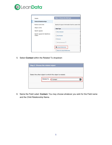

| Details                                  | Step 1. Choose the field type                         |        |
|------------------------------------------|-------------------------------------------------------|--------|
| <b>Fields &amp; Relationships</b>        |                                                       |        |
| <b>Buttons and Links</b>                 | Specify the type of information that the custom field |        |
| <b>Object Limits</b>                     | Data Type                                             |        |
| Search Layouts                           | None Selected                                         | ś      |
| Search Layouts for Salesforce<br>Classic | <b>Auto Number</b>                                    | ŀ<br>r |
|                                          | $\bigcap$ Formula                                     | C      |
|                                          | Roll-Up Summary 1                                     | â      |
|                                          | <b>O</b> Lookup Relationship                          |        |
|                                          | <b>External Lookup Relationship</b>                   | C      |
|                                          |                                                       |        |

5. Select **Contact** within the Related To dropdown

| Step 2. Choose the related object |                                                          |  |  |  |  |  |  |
|-----------------------------------|----------------------------------------------------------|--|--|--|--|--|--|
|                                   |                                                          |  |  |  |  |  |  |
|                                   | Select the other object to which this object is related. |  |  |  |  |  |  |
|                                   | <b>Related To</b><br>Contact<br>$\hat{\mathbf{c}}$       |  |  |  |  |  |  |
|                                   |                                                          |  |  |  |  |  |  |
|                                   |                                                          |  |  |  |  |  |  |

6. Name the Field Label: **Contact.** You may choose whatever you wish for the Field name and the Child Relationship Name.